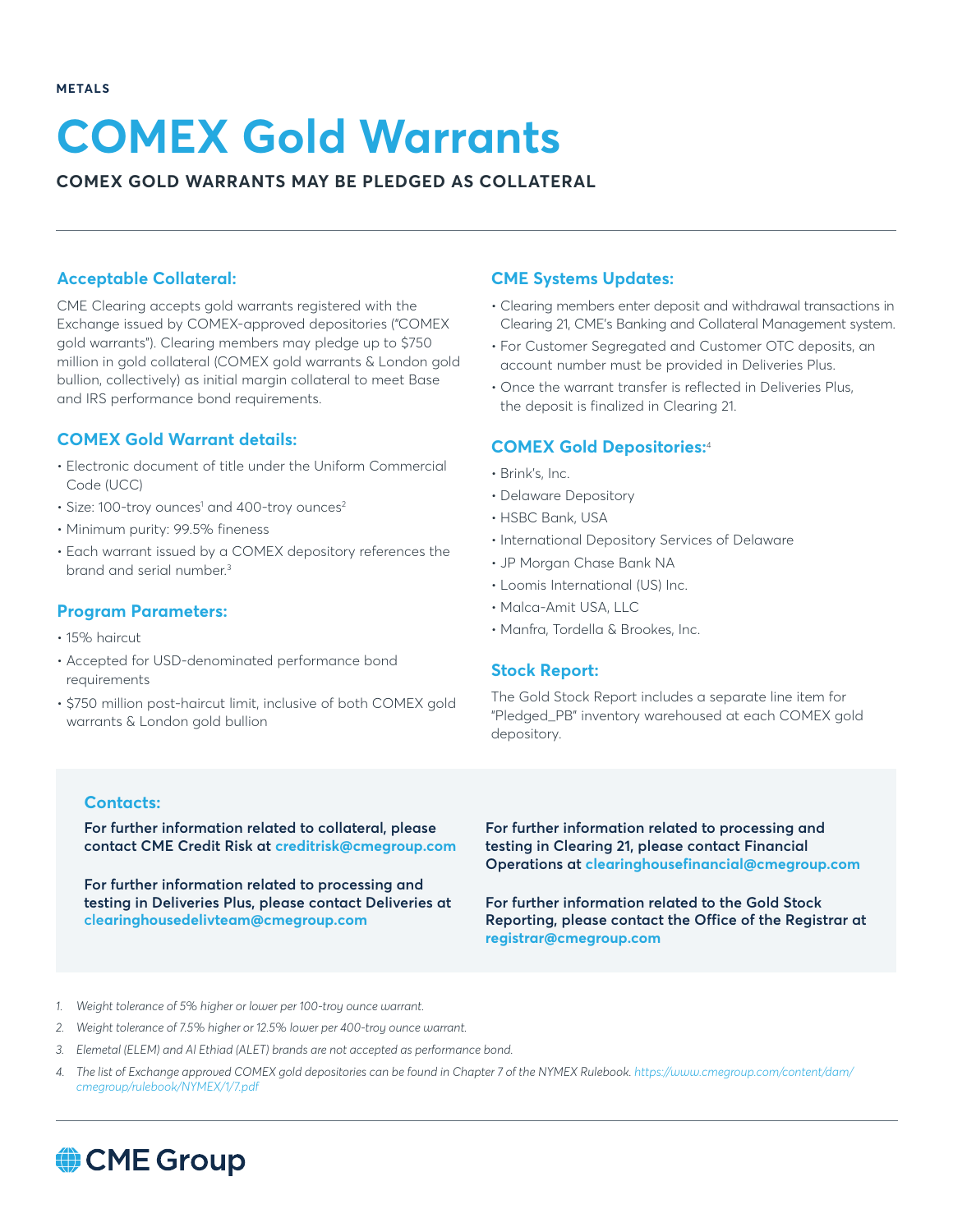# **COMEX Gold Warrants**

#### **COMEX GOLD WARRANTS MAY BE PLEDGED AS COLLATERAL**

#### **Acceptable Collateral:**

CME Clearing accepts gold warrants registered with the Exchange issued by COMEX-approved depositories ("COMEX gold warrants"). Clearing members may pledge up to \$750 million in gold collateral (COMEX gold warrants & London gold bullion, collectively) as initial margin collateral to meet Base and IRS performance bond requirements.

#### **COMEX Gold Warrant details:**

- Electronic document of title under the Uniform Commercial Code (UCC)
- Size: 100-troy ounces<sup>1</sup> and 400-troy ounces<sup>2</sup>
- Minimum purity: 99.5% fineness
- Each warrant issued by a COMEX depository references the brand and serial number.3

#### **Program Parameters:**

- 15% haircut
- Accepted for USD-denominated performance bond requirements
- \$750 million post-haircut limit, inclusive of both COMEX gold warrants & London gold bullion

#### **CME Systems Updates:**

- Clearing members enter deposit and withdrawal transactions in Clearing 21, CME's Banking and Collateral Management system.
- For Customer Segregated and Customer OTC deposits, an account number must be provided in Deliveries Plus.
- Once the warrant transfer is reflected in Deliveries Plus, the deposit is finalized in Clearing 21.

#### **COMEX Gold Depositories:**<sup>4</sup>

- Brink's, Inc.
- Delaware Depository
- HSBC Bank, USA
- International Depository Services of Delaware
- JP Morgan Chase Bank NA
- Loomis International (US) Inc.
- Malca-Amit USA, LLC
- Manfra, Tordella & Brookes, Inc.

#### **Stock Report:**

The Gold Stock Report includes a separate line item for "Pledged\_PB" inventory warehoused at each COMEX gold depository.

#### **Contacts:**

**For further information related to collateral, please contact CME Credit Risk at [creditrisk@cmegroup.com](mailto:CreditRisk%40cmegroup.com?subject=)**

**For further information related to processing and testing in Deliveries Plus, please contact Deliveries at clearinghousedelivteam@cmegroup.com**

**For further information related to processing and testing in Clearing 21, please contact Financial Operations at clearinghousefinancial@cmegroup.com**

**For further information related to the Gold Stock Reporting, please contact the Office of the Registrar at [registrar@cmegroup.com](mailto:Registrar%40cmegroup.com?subject=)**

*1. Weight tolerance of 5% higher or lower per 100-troy ounce warrant.*

- *2. Weight tolerance of 7.5% higher or 12.5% lower per 400-troy ounce warrant.*
- *3. Elemetal (ELEM) and Al Ethiad (ALET) brands are not accepted as performance bond.*
- *4. The list of Exchange approved COMEX gold depositories can be found in Chapter 7 of the NYMEX Rulebook. [https://www.cmegroup.com/content/dam/](https://www.cmegroup.com/content/dam/cmegroup/rulebook/NYMEX/1/7.pdf) [cmegroup/rulebook/NYMEX/1/7.pdf](https://www.cmegroup.com/content/dam/cmegroup/rulebook/NYMEX/1/7.pdf)*

## CME Group